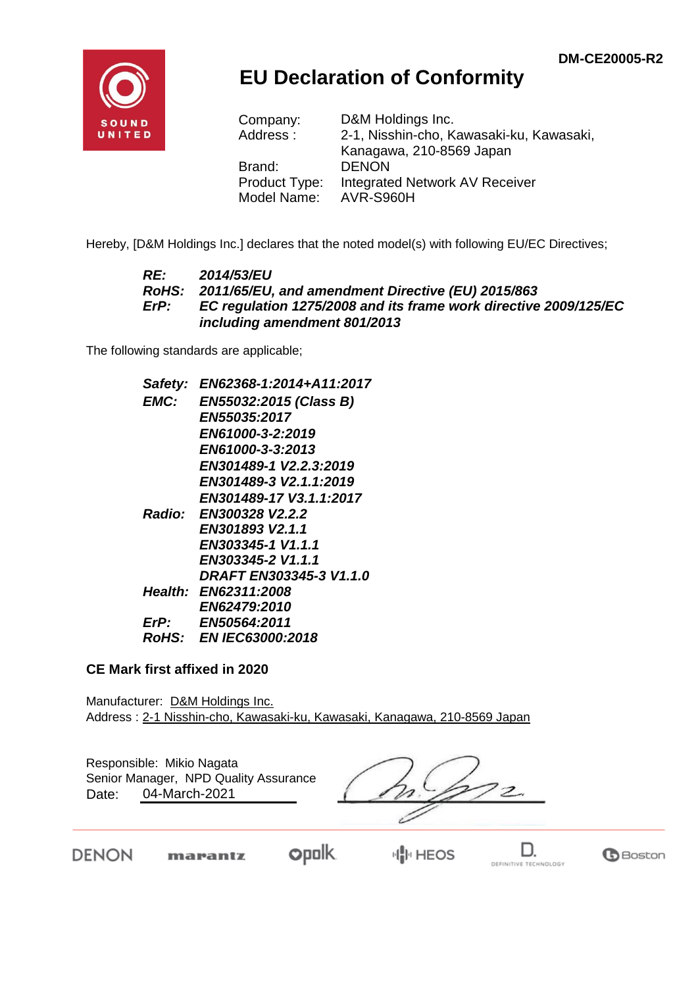

## **EU Declaration of Conformity**

| Company:      | D&M Holdings Inc.                        |
|---------------|------------------------------------------|
| Address:      | 2-1, Nisshin-cho, Kawasaki-ku, Kawasaki, |
|               | Kanagawa, 210-8569 Japan                 |
| Brand:        | <b>DENON</b>                             |
| Product Type: | <b>Integrated Network AV Receiver</b>    |
| Model Name:   | AVR-S960H                                |

Hereby, [D&M Holdings Inc.] declares that the noted model(s) with following EU/EC Directives;

#### *RE: 2014/53/EU RoHS: 2011/65/EU, and amendment Directive (EU) 2015/863 ErP: EC regulation 1275/2008 and its frame work directive 2009/125/EC including amendment 801/2013*

The following standards are applicable;

| Safety: | EN62368-1:2014+A11:2017       |
|---------|-------------------------------|
| EMC:    | EN55032:2015 (Class B)        |
|         | <i><b>EN55035:2017</b></i>    |
|         | EN61000-3-2:2019              |
|         | EN61000-3-3:2013              |
|         | EN301489-1 V2.2.3:2019        |
|         | EN301489-3 V2.1.1:2019        |
|         | EN301489-17 V3.1.1:2017       |
|         | Radio: EN300328 V2.2.2        |
|         | EN301893 V2.1.1               |
|         | EN303345-1 V1.1.1             |
|         | EN303345-2 V1.1.1             |
|         | DRAFT EN303345-3 V1.1.0       |
|         | <b>Health: EN62311:2008</b>   |
|         | <b>EN62479:2010</b>           |
| ErP:    | EN50564:2011                  |
|         | <i>RoHS: EN IEC63000:2018</i> |
|         |                               |

#### **CE Mark first affixed in 2020**

Manufacturer: D&M Holdings Inc. Address : 2-1 Nisshin-cho, Kawasaki-ku, Kawasaki, Kanagawa, 210-8569 Japan

Responsible: Mikio Nagata Date: 04-March-2021 Senior Manager, NPD Quality Assurance

 $2.$ 

**DENON** 

**opolk** marantz

**HIM HEOS** 

D. DEFINITIVE TECHNOLOGY

**B**Boston